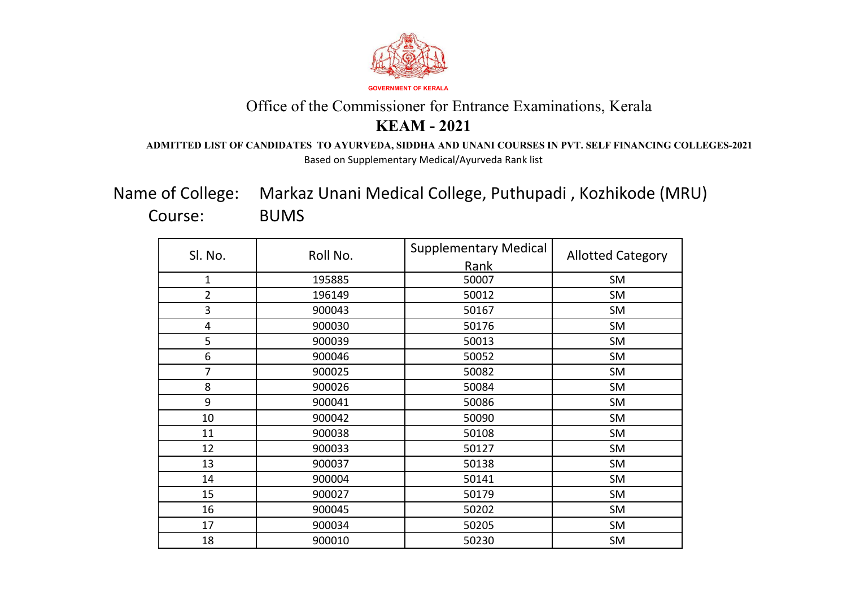

#### **ADMITTED LIST OF CANDIDATES TO AYURVEDA, SIDDHA AND UNANI COURSES IN PVT. SELF FINANCING COLLEGES-2021** Based on Supplementary Medical/Ayurveda Rank list

Markaz Unani Medical College, Puthupadi , Kozhikode (MRU) BUMS Name of College: Course:

| Sl. No.                 | Roll No. | <b>Supplementary Medical</b> | <b>Allotted Category</b> |
|-------------------------|----------|------------------------------|--------------------------|
|                         |          | Rank                         |                          |
| $\mathbf{1}$            | 195885   | 50007                        | SM                       |
| $\overline{2}$          | 196149   | 50012                        | <b>SM</b>                |
| 3                       | 900043   | 50167                        | SM                       |
| $\overline{\mathbf{4}}$ | 900030   | 50176                        | <b>SM</b>                |
| 5                       | 900039   | 50013                        | <b>SM</b>                |
| 6                       | 900046   | 50052                        | <b>SM</b>                |
| $\overline{7}$          | 900025   | 50082                        | SM                       |
| 8                       | 900026   | 50084                        | <b>SM</b>                |
| 9                       | 900041   | 50086                        | <b>SM</b>                |
| 10                      | 900042   | 50090                        | SM                       |
| 11                      | 900038   | 50108                        | <b>SM</b>                |
| 12                      | 900033   | 50127                        | SM                       |
| 13                      | 900037   | 50138                        | <b>SM</b>                |
| 14                      | 900004   | 50141                        | SM                       |
| 15                      | 900027   | 50179                        | <b>SM</b>                |
| 16                      | 900045   | 50202                        | <b>SM</b>                |
| 17                      | 900034   | 50205                        | SM                       |
| 18                      | 900010   | 50230                        | <b>SM</b>                |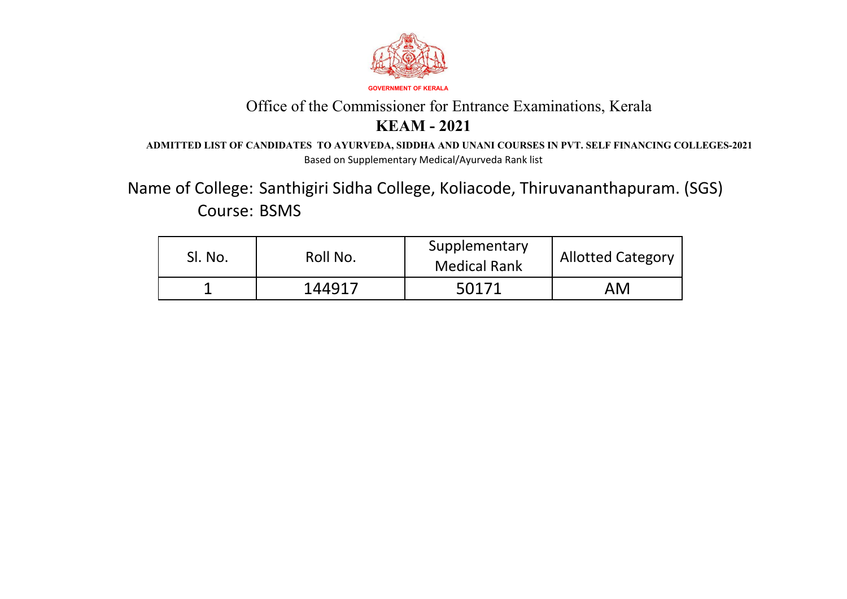

#### **ADMITTED LIST OF CANDIDATES TO AYURVEDA, SIDDHA AND UNANI COURSES IN PVT. SELF FINANCING COLLEGES-2021** Based on Supplementary Medical/Ayurveda Rank list

Course: BSMS Name of College: Santhigiri Sidha College, Koliacode, Thiruvananthapuram. (SGS)

| Sl. No. | Roll No. | Supplementary<br><b>Medical Rank</b> | <b>Allotted Category</b> |
|---------|----------|--------------------------------------|--------------------------|
|         | 144917   | 50171                                | AM                       |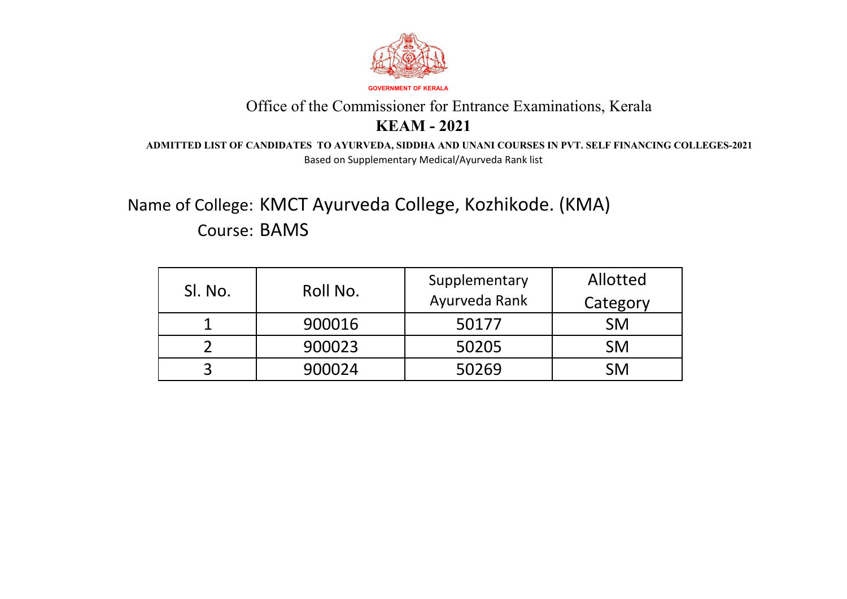

#### **ADMITTED LIST OF CANDIDATES TO AYURVEDA, SIDDHA AND UNANI COURSES IN PVT. SELF FINANCING COLLEGES-2021** Based on Supplementary Medical/Ayurveda Rank list

# Name of College: KMCT Ayurveda College, Kozhikode. (KMA) Course: BAMS

| SI. No. | Roll No. | Supplementary<br>Ayurveda Rank | Allotted<br>Category |
|---------|----------|--------------------------------|----------------------|
|         | 900016   | 50177                          | <b>SM</b>            |
|         | 900023   | 50205                          | <b>SM</b>            |
| ⌒       | 900024   | 50269                          | <b>SM</b>            |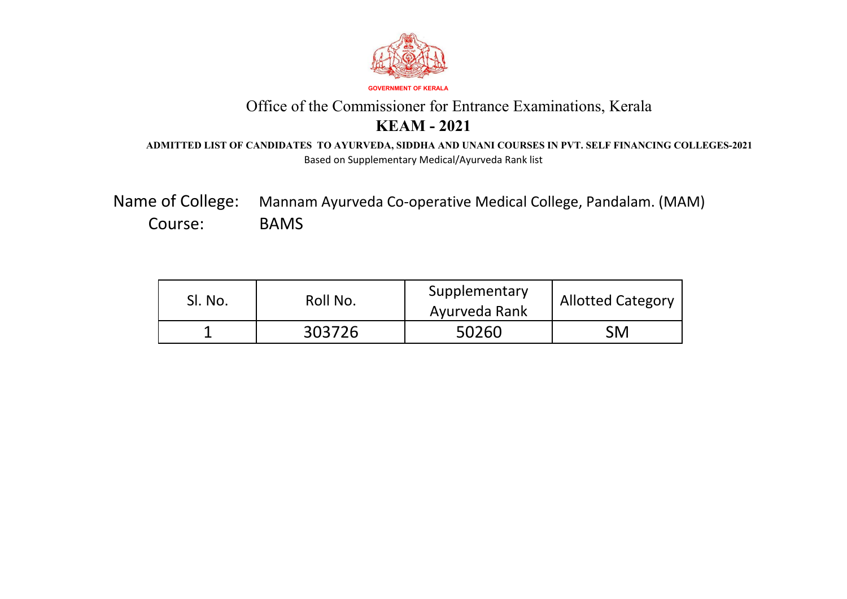

#### **ADMITTED LIST OF CANDIDATES TO AYURVEDA, SIDDHA AND UNANI COURSES IN PVT. SELF FINANCING COLLEGES-2021** Based on Supplementary Medical/Ayurveda Rank list

Mannam Ayurveda Co-operative Medical College, Pandalam. (MAM) BAMS Name of College: Course:

| SI. No. | Roll No. | Supplementary<br>Ayurveda Rank | <b>Allotted Category</b> |
|---------|----------|--------------------------------|--------------------------|
| ┻       | 303726   | 50260                          | SM                       |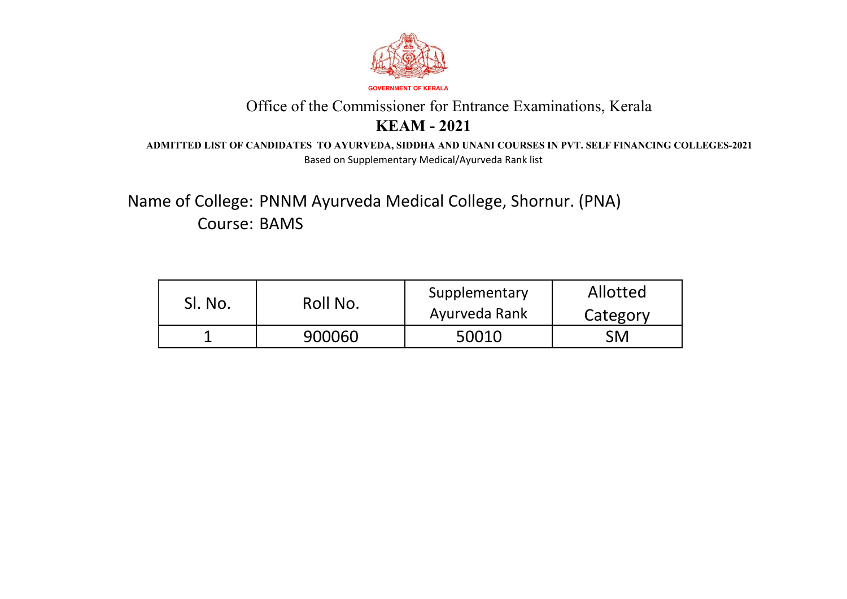

#### **ADMITTED LIST OF CANDIDATES TO AYURVEDA, SIDDHA AND UNANI COURSES IN PVT. SELF FINANCING COLLEGES-2021** Based on Supplementary Medical/Ayurveda Rank list

Name of College: PNNM Ayurveda Medical College, Shornur. (PNA) Course: BAMS

| SI. No. | Roll No. | Supplementary<br>Ayurveda Rank | Allotted<br>Category |
|---------|----------|--------------------------------|----------------------|
| ┻       | 900060   | 50010                          | SM                   |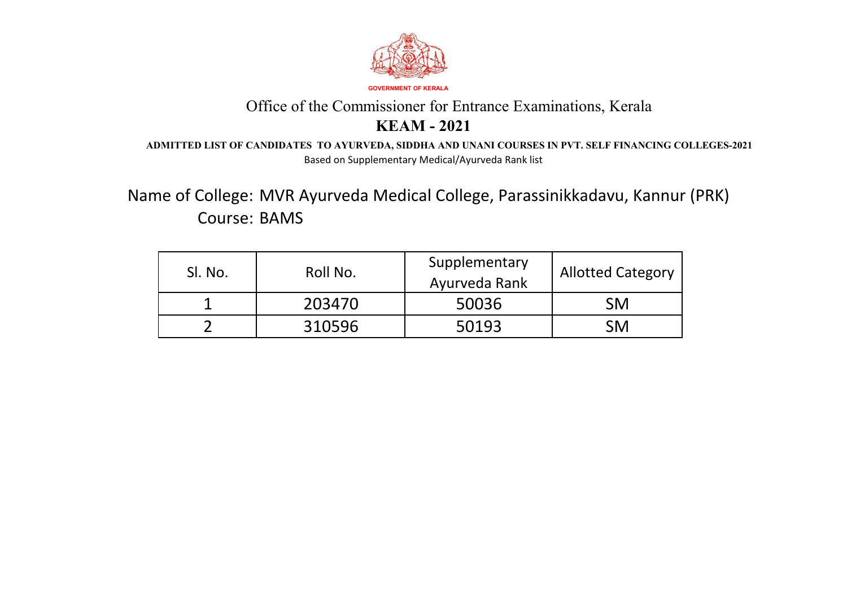

#### **ADMITTED LIST OF CANDIDATES TO AYURVEDA, SIDDHA AND UNANI COURSES IN PVT. SELF FINANCING COLLEGES-2021** Based on Supplementary Medical/Ayurveda Rank list

Name of College: MVR Ayurveda Medical College, Parassinikkadavu, Kannur (PRK) Course: BAMS

| SI. No. | Roll No. | Supplementary<br>Ayurveda Rank | <b>Allotted Category</b> |
|---------|----------|--------------------------------|--------------------------|
|         | 203470   | 50036                          | <b>SM</b>                |
|         | 310596   | 50193                          | <b>SM</b>                |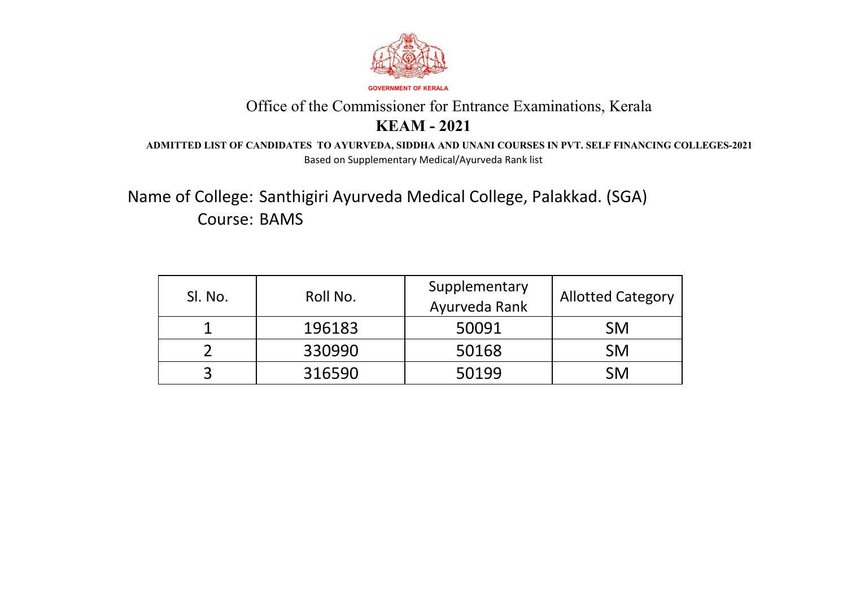

#### **ADMITTED LIST OF CANDIDATES TO AYURVEDA, SIDDHA AND UNANI COURSES IN PVT. SELF FINANCING COLLEGES-2021** Based on Supplementary Medical/Ayurveda Rank list

Name of College: Santhigiri Ayurveda Medical College, Palakkad. (SGA) Course: BAMS

| SI. No. | Roll No. | Supplementary<br>Ayurveda Rank | <b>Allotted Category</b> |
|---------|----------|--------------------------------|--------------------------|
|         | 196183   | 50091                          | <b>SM</b>                |
|         | 330990   | 50168                          | <b>SM</b>                |
|         | 316590   | 50199                          | <b>SM</b>                |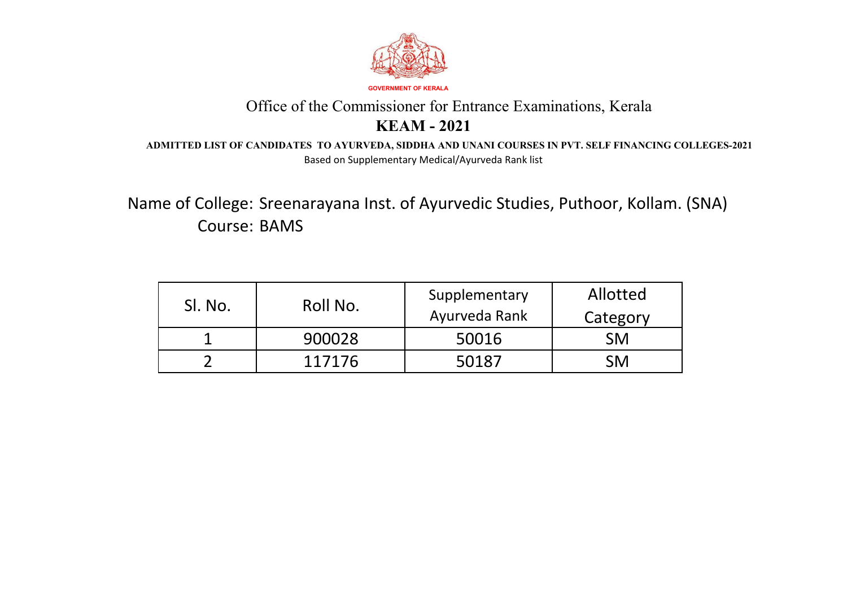

**ADMITTED LIST OF CANDIDATES TO AYURVEDA, SIDDHA AND UNANI COURSES IN PVT. SELF FINANCING COLLEGES-2021** Based on Supplementary Medical/Ayurveda Rank list

Name of College: Sreenarayana Inst. of Ayurvedic Studies, Puthoor, Kollam. (SNA) Course: BAMS

| SI. No. | Roll No. | Supplementary<br>Ayurveda Rank | Allotted<br>Category |
|---------|----------|--------------------------------|----------------------|
|         | 900028   | 50016                          | <b>SM</b>            |
|         | 117176   | 50187                          | <b>SM</b>            |